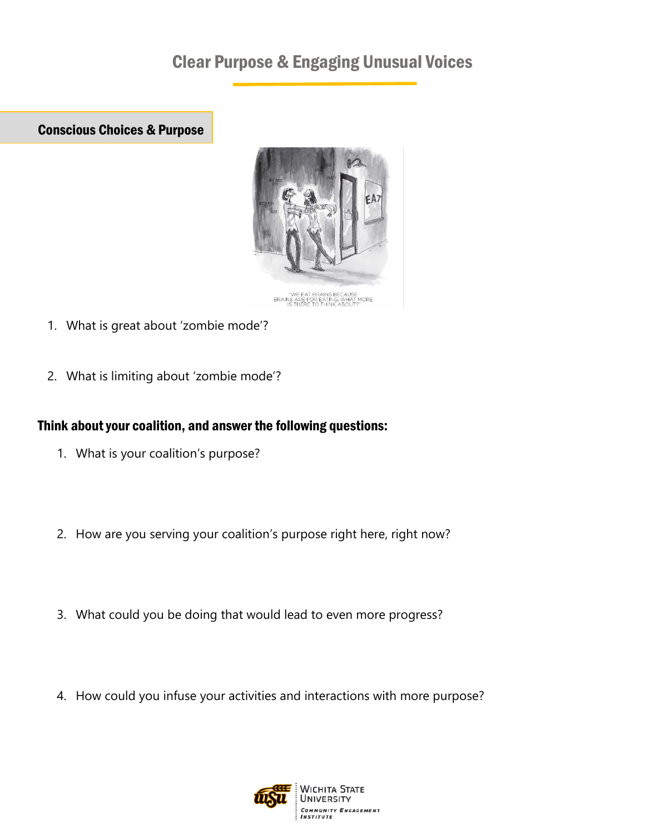# Clear Purpose & Engaging Unusual Voices

Conscious Choices & Purpose



- 1. What is great about 'zombie mode'?
- 2. What is limiting about 'zombie mode'?

# Think about your coalition, and answer the following questions:

- 1. What is your coalition's purpose?
- 2. How are you serving your coalition's purpose right here, right now?
- 3. What could you be doing that would lead to even more progress?
- 4. How could you infuse your activities and interactions with more purpose?